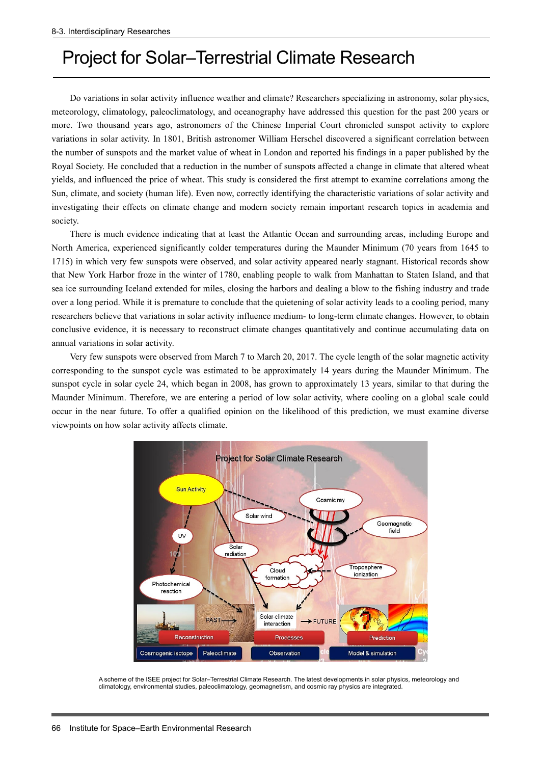## Project for Solar–Terrestrial Climate Research

Do variations in solar activity influence weather and climate? Researchers specializing in astronomy, solar physics, meteorology, climatology, paleoclimatology, and oceanography have addressed this question for the past 200 years or more. Two thousand years ago, astronomers of the Chinese Imperial Court chronicled sunspot activity to explore variations in solar activity. In 1801, British astronomer William Herschel discovered a significant correlation between the number of sunspots and the market value of wheat in London and reported his findings in a paper published by the Royal Society. He concluded that a reduction in the number of sunspots affected a change in climate that altered wheat yields, and influenced the price of wheat. This study is considered the first attempt to examine correlations among the Sun, climate, and society (human life). Even now, correctly identifying the characteristic variations of solar activity and investigating their effects on climate change and modern society remain important research topics in academia and society.

There is much evidence indicating that at least the Atlantic Ocean and surrounding areas, including Europe and North America, experienced significantly colder temperatures during the Maunder Minimum (70 years from 1645 to 1715) in which very few sunspots were observed, and solar activity appeared nearly stagnant. Historical records show that New York Harbor froze in the winter of 1780, enabling people to walk from Manhattan to Staten Island, and that sea ice surrounding Iceland extended for miles, closing the harbors and dealing a blow to the fishing industry and trade over a long period. While it is premature to conclude that the quietening of solar activity leads to a cooling period, many researchers believe that variations in solar activity influence medium- to long-term climate changes. However, to obtain conclusive evidence, it is necessary to reconstruct climate changes quantitatively and continue accumulating data on annual variations in solar activity.

Very few sunspots were observed from March 7 to March 20, 2017. The cycle length of the solar magnetic activity corresponding to the sunspot cycle was estimated to be approximately 14 years during the Maunder Minimum. The sunspot cycle in solar cycle 24, which began in 2008, has grown to approximately 13 years, similar to that during the Maunder Minimum. Therefore, we are entering a period of low solar activity, where cooling on a global scale could occur in the near future. To offer a qualified opinion on the likelihood of this prediction, we must examine diverse viewpoints on how solar activity affects climate.



A scheme of the ISEE project for Solar–Terrestrial Climate Research. The latest developments in solar physics, meteorology and climatology, environmental studies, paleoclimatology, geomagnetism, and cosmic ray physics are integrated.